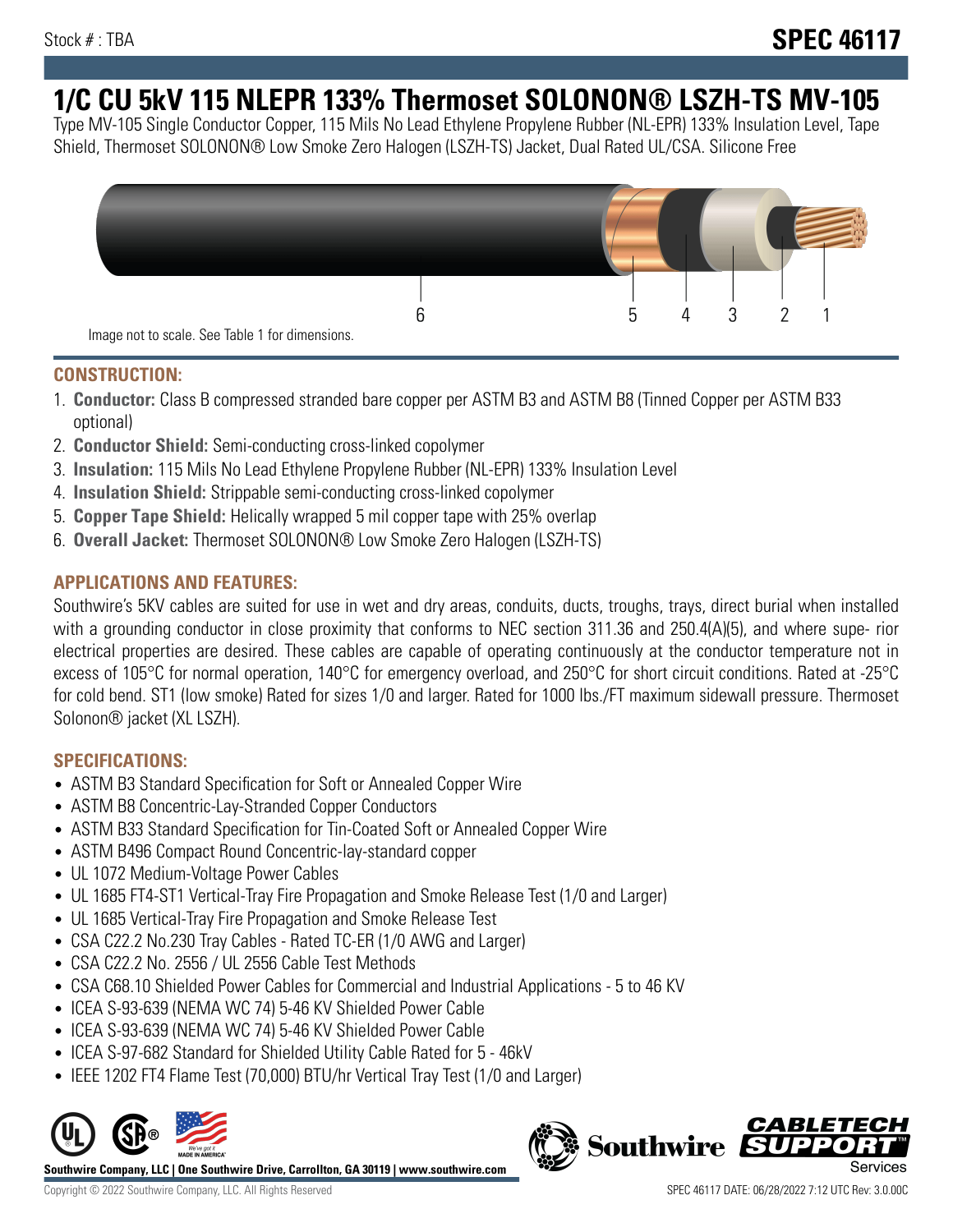# **1/C CU 5kV 115 NLEPR 133% Thermoset SOLONON® LSZH-TS MV-105**

Type MV-105 Single Conductor Copper, 115 Mils No Lead Ethylene Propylene Rubber (NL-EPR) 133% Insulation Level, Tape Shield, Thermoset SOLONON® Low Smoke Zero Halogen (LSZH-TS) Jacket, Dual Rated UL/CSA. Silicone Free



#### **CONSTRUCTION:**

- 1. **Conductor:** Class B compressed stranded bare copper per ASTM B3 and ASTM B8 (Tinned Copper per ASTM B33 optional)
- 2. **Conductor Shield:** Semi-conducting cross-linked copolymer
- 3. **Insulation:** 115 Mils No Lead Ethylene Propylene Rubber (NL-EPR) 133% Insulation Level
- 4. **Insulation Shield:** Strippable semi-conducting cross-linked copolymer
- 5. **Copper Tape Shield:** Helically wrapped 5 mil copper tape with 25% overlap
- 6. **Overall Jacket:** Thermoset SOLONON® Low Smoke Zero Halogen (LSZH-TS)

# **APPLICATIONS AND FEATURES:**

Southwire's 5KV cables are suited for use in wet and dry areas, conduits, ducts, troughs, trays, direct burial when installed with a grounding conductor in close proximity that conforms to NEC section 311.36 and 250.4(A)(5), and where supe- rior electrical properties are desired. These cables are capable of operating continuously at the conductor temperature not in excess of 105°C for normal operation, 140°C for emergency overload, and 250°C for short circuit conditions. Rated at -25°C for cold bend. ST1 (low smoke) Rated for sizes 1/0 and larger. Rated for 1000 lbs./FT maximum sidewall pressure. Thermoset Solonon® jacket (XL LSZH).

# **SPECIFICATIONS:**

- ASTM B3 Standard Specification for Soft or Annealed Copper Wire
- ASTM B8 Concentric-Lay-Stranded Copper Conductors
- ASTM B33 Standard Specification for Tin-Coated Soft or Annealed Copper Wire
- ASTM B496 Compact Round Concentric-lay-standard copper
- UL 1072 Medium-Voltage Power Cables
- UL 1685 FT4-ST1 Vertical-Tray Fire Propagation and Smoke Release Test (1/0 and Larger)
- UL 1685 Vertical-Tray Fire Propagation and Smoke Release Test
- CSA C22.2 No.230 Tray Cables Rated TC-ER (1/0 AWG and Larger)
- CSA C22.2 No. 2556 / UL 2556 Cable Test Methods
- CSA C68.10 Shielded Power Cables for Commercial and Industrial Applications 5 to 46 KV
- ICEA S-93-639 (NEMA WC 74) 5-46 KV Shielded Power Cable
- ICEA S-93-639 (NEMA WC 74) 5-46 KV Shielded Power Cable
- ICEA S-97-682 Standard for Shielded Utility Cable Rated for 5 46kV
- IEEE 1202 FT4 Flame Test (70,000) BTU/hr Vertical Tray Test (1/0 and Larger)



**Southwire Company, LLC | One Southwire Drive, Carrollton, GA 30119 | www.southwire.com**